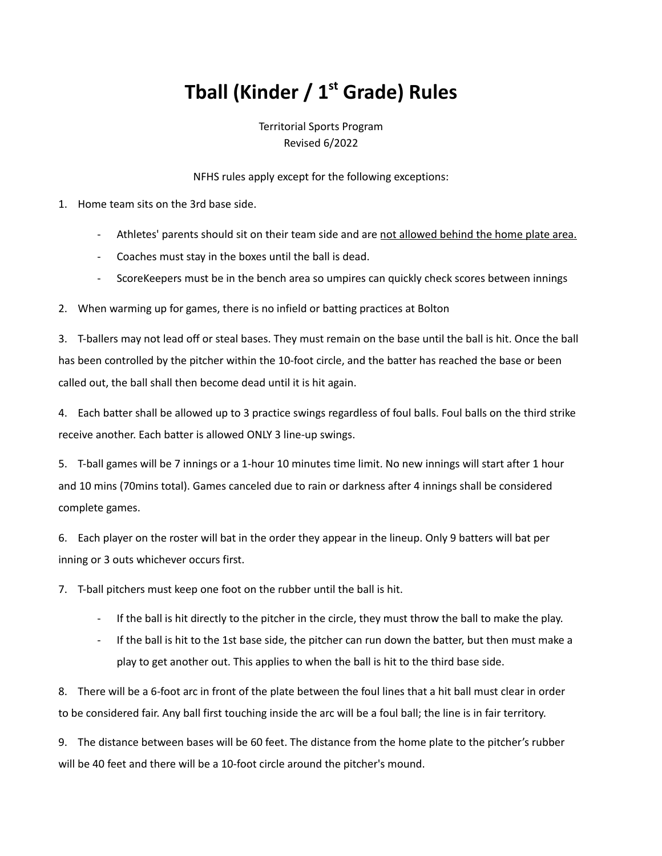## **Tball (Kinder / 1 st Grade) Rules**

Territorial Sports Program Revised 6/2022

NFHS rules apply except for the following exceptions:

1. Home team sits on the 3rd base side.

- Athletes' parents should sit on their team side and are not allowed behind the home plate area.
- Coaches must stay in the boxes until the ball is dead.
- ScoreKeepers must be in the bench area so umpires can quickly check scores between innings

2. When warming up for games, there is no infield or batting practices at Bolton

3. T-ballers may not lead off or steal bases. They must remain on the base until the ball is hit. Once the ball has been controlled by the pitcher within the 10-foot circle, and the batter has reached the base or been called out, the ball shall then become dead until it is hit again.

4. Each batter shall be allowed up to 3 practice swings regardless of foul balls. Foul balls on the third strike receive another. Each batter is allowed ONLY 3 line-up swings.

5. T-ball games will be 7 innings or a 1-hour 10 minutes time limit. No new innings will start after 1 hour and 10 mins (70mins total). Games canceled due to rain or darkness after 4 innings shall be considered complete games.

6. Each player on the roster will bat in the order they appear in the lineup. Only 9 batters will bat per inning or 3 outs whichever occurs first.

7. T-ball pitchers must keep one foot on the rubber until the ball is hit.

- If the ball is hit directly to the pitcher in the circle, they must throw the ball to make the play.
- If the ball is hit to the 1st base side, the pitcher can run down the batter, but then must make a play to get another out. This applies to when the ball is hit to the third base side.

8. There will be a 6-foot arc in front of the plate between the foul lines that a hit ball must clear in order to be considered fair. Any ball first touching inside the arc will be a foul ball; the line is in fair territory.

9. The distance between bases will be 60 feet. The distance from the home plate to the pitcher's rubber will be 40 feet and there will be a 10-foot circle around the pitcher's mound.